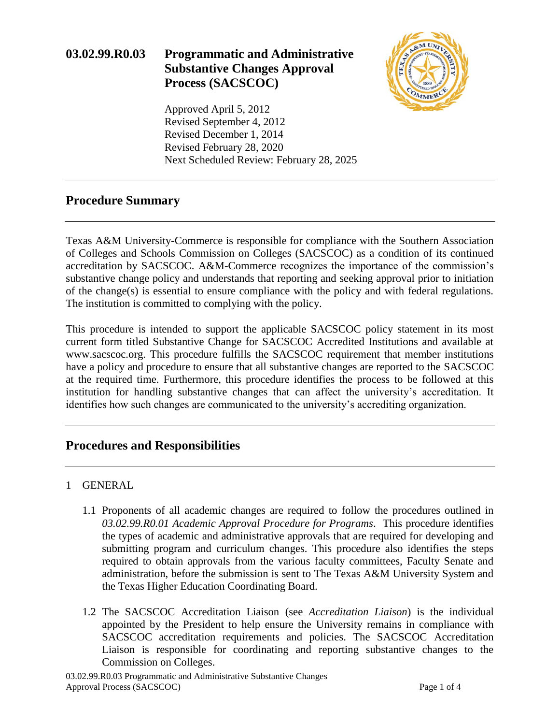## **03.02.99.R0.03 Programmatic and Administrative Substantive Changes Approval Process (SACSCOC)**



Approved April 5, 2012 Revised September 4, 2012 Revised December 1, 2014 Revised February 28, 2020 Next Scheduled Review: February 28, 2025

## **Procedure Summary**

Texas A&M University-Commerce is responsible for compliance with the Southern Association of Colleges and Schools Commission on Colleges (SACSCOC) as a condition of its continued accreditation by SACSCOC. A&M-Commerce recognizes the importance of the commission's substantive change policy and understands that reporting and seeking approval prior to initiation of the change(s) is essential to ensure compliance with the policy and with federal regulations. The institution is committed to complying with the policy.

This procedure is intended to support the applicable SACSCOC policy statement in its most current form titled Substantive Change for SACSCOC Accredited Institutions and available at www.sacscoc.org. This procedure fulfills the SACSCOC requirement that member institutions have a policy and procedure to ensure that all substantive changes are reported to the SACSCOC at the required time. Furthermore, this procedure identifies the process to be followed at this institution for handling substantive changes that can affect the university's accreditation. It identifies how such changes are communicated to the university's accrediting organization.

## **Procedures and Responsibilities**

### 1 GENERAL

- 1.1 Proponents of all academic changes are required to follow the procedures outlined in *03.02.99.R0.01 Academic Approval Procedure for Programs*. This procedure identifies the types of academic and administrative approvals that are required for developing and submitting program and curriculum changes. This procedure also identifies the steps required to obtain approvals from the various faculty committees, Faculty Senate and administration, before the submission is sent to The Texas A&M University System and the Texas Higher Education Coordinating Board.
- 1.2 The SACSCOC Accreditation Liaison (see *Accreditation Liaison*) is the individual appointed by the President to help ensure the University remains in compliance with SACSCOC accreditation requirements and policies. The SACSCOC Accreditation Liaison is responsible for coordinating and reporting substantive changes to the Commission on Colleges.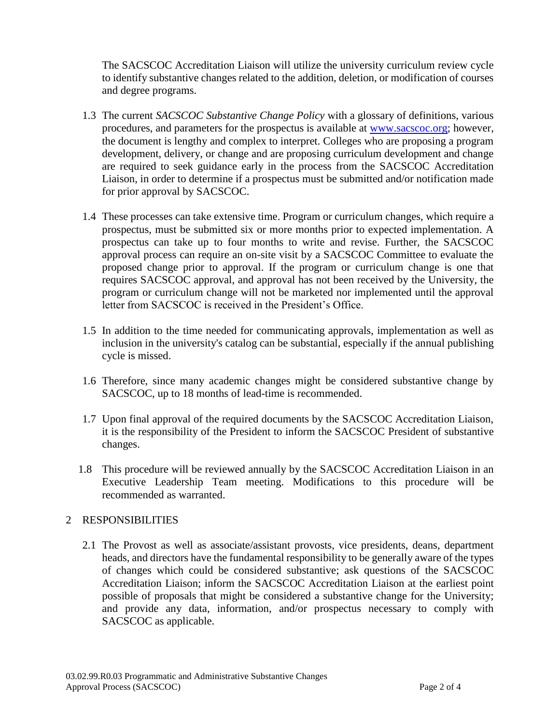The SACSCOC Accreditation Liaison will utilize the university curriculum review cycle to identify substantive changes related to the addition, deletion, or modification of courses and degree programs.

- 1.3 The current *SACSCOC Substantive Change Policy* with a glossary of definitions, various procedures, and parameters for the prospectus is available at [www.sacscoc.org;](http://www.sacscoc.org/) however, the document is lengthy and complex to interpret. Colleges who are proposing a program development, delivery, or change and are proposing curriculum development and change are required to seek guidance early in the process from the SACSCOC Accreditation Liaison, in order to determine if a prospectus must be submitted and/or notification made for prior approval by SACSCOC.
- 1.4 These processes can take extensive time. Program or curriculum changes, which require a prospectus, must be submitted six or more months prior to expected implementation. A prospectus can take up to four months to write and revise. Further, the SACSCOC approval process can require an on-site visit by a SACSCOC Committee to evaluate the proposed change prior to approval. If the program or curriculum change is one that requires SACSCOC approval, and approval has not been received by the University, the program or curriculum change will not be marketed nor implemented until the approval letter from SACSCOC is received in the President's Office.
- 1.5 In addition to the time needed for communicating approvals, implementation as well as inclusion in the university's catalog can be substantial, especially if the annual publishing cycle is missed.
- 1.6 Therefore, since many academic changes might be considered substantive change by SACSCOC, up to 18 months of lead-time is recommended.
- 1.7 Upon final approval of the required documents by the SACSCOC Accreditation Liaison, it is the responsibility of the President to inform the SACSCOC President of substantive changes.
- 1.8 This procedure will be reviewed annually by the SACSCOC Accreditation Liaison in an Executive Leadership Team meeting. Modifications to this procedure will be recommended as warranted.

#### 2 RESPONSIBILITIES

2.1 The Provost as well as associate/assistant provosts, vice presidents, deans, department heads, and directors have the fundamental responsibility to be generally aware of the types of changes which could be considered substantive; ask questions of the SACSCOC Accreditation Liaison; inform the SACSCOC Accreditation Liaison at the earliest point possible of proposals that might be considered a substantive change for the University; and provide any data, information, and/or prospectus necessary to comply with SACSCOC as applicable.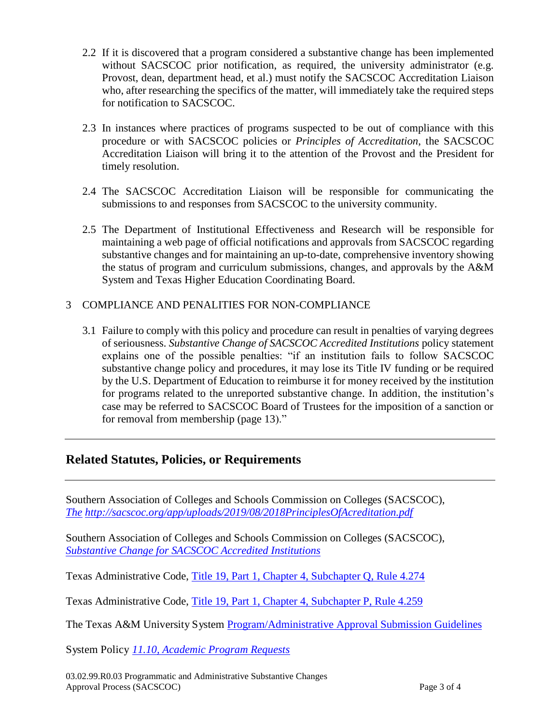- 2.2 If it is discovered that a program considered a substantive change has been implemented without SACSCOC prior notification, as required, the university administrator (e.g. Provost, dean, department head, et al.) must notify the SACSCOC Accreditation Liaison who, after researching the specifics of the matter, will immediately take the required steps for notification to SACSCOC.
- 2.3 In instances where practices of programs suspected to be out of compliance with this procedure or with SACSCOC policies or *Principles of Accreditation*, the SACSCOC Accreditation Liaison will bring it to the attention of the Provost and the President for timely resolution.
- 2.4 The SACSCOC Accreditation Liaison will be responsible for communicating the submissions to and responses from SACSCOC to the university community.
- 2.5 The Department of Institutional Effectiveness and Research will be responsible for maintaining a web page of official notifications and approvals from SACSCOC regarding substantive changes and for maintaining an up-to-date, comprehensive inventory showing the status of program and curriculum submissions, changes, and approvals by the A&M System and Texas Higher Education Coordinating Board.

#### 3 COMPLIANCE AND PENALITIES FOR NON-COMPLIANCE

3.1 Failure to comply with this policy and procedure can result in penalties of varying degrees of seriousness. *Substantive Change of SACSCOC Accredited Institutions* policy statement explains one of the possible penalties: "if an institution fails to follow SACSCOC substantive change policy and procedures, it may lose its Title IV funding or be required by the U.S. Department of Education to reimburse it for money received by the institution for programs related to the unreported substantive change. In addition, the institution's case may be referred to SACSCOC Board of Trustees for the imposition of a sanction or for removal from membership (page 13)."

## **Related Statutes, Policies, or Requirements**

Southern Association of Colleges and Schools Commission on Colleges (SACSCOC), *The <http://sacscoc.org/app/uploads/2019/08/2018PrinciplesOfAcreditation.pdf>*

Southern Association of Colleges and Schools Commission on Colleges (SACSCOC), *Substantive Change for [SACSCOC Accredited Institutions](http://sacscoc.org/app/uploads/2019/08/SubstantiveChange.pdf)*

Texas Administrative Code, Title [19, Part 1, Chapter 4, Subchapter](http://info.sos.state.tx.us/pls/pub/readtac%24ext.TacPage?sl=R&amp%3Bapp=9&amp%3Bp_dir&amp%3Bp_rloc&amp%3Bp_tloc&amp%3Bp_ploc&amp%3Bpg=1&amp%3Bp_tac&amp%3Bti=19&amp%3Bpt=1&amp%3Bch=4&amp%3Brl=274) Q, Rule 4.274

Texas Administrative Code, Title [19, Part 1, Chapter 4, Subchapter](http://info.sos.state.tx.us/pls/pub/readtac%24ext.TacPage?sl=R&amp%3Bapp=9&amp%3Bp_dir&amp%3Bp_rloc&amp%3Bp_tloc&amp%3Bp_ploc&amp%3Bpg=1&amp%3Bp_tac&amp%3Bti=19&amp%3Bpt=1&amp%3Bch=4&amp%3Brl=259) P, Rule 4.259

The Texas A&M University System Program/Administrative [Approval Submission Guidelines](https://www.tamus.edu/academic/approval-process/)

System Policy *11.10, [Academic Program Requests](http://policies.tamus.edu/11-10.pdf)*